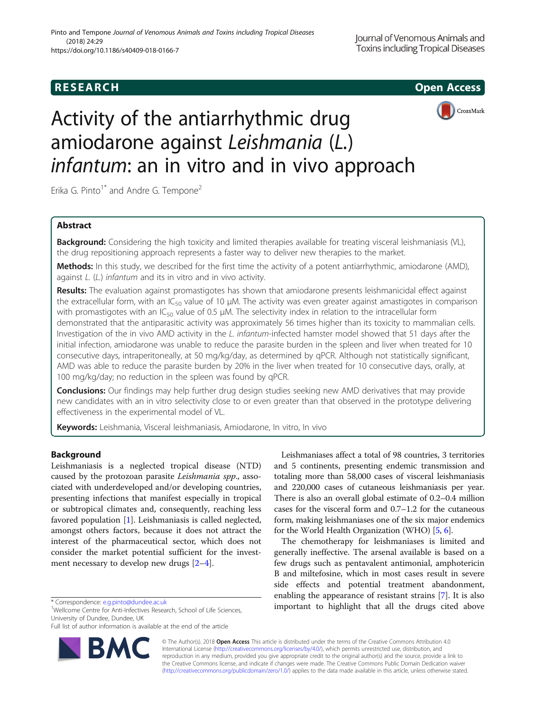**RESEARCH CHE Open Access** 



# Activity of the antiarrhythmic drug amiodarone against Leishmania (L.) infantum: an in vitro and in vivo approach

Erika G. Pinto<sup>1\*</sup> and Andre G. Tempone<sup>2</sup>

# Abstract

Background: Considering the high toxicity and limited therapies available for treating visceral leishmaniasis (VL), the drug repositioning approach represents a faster way to deliver new therapies to the market.

Methods: In this study, we described for the first time the activity of a potent antiarrhythmic, amiodarone (AMD), against L. (L.) infantum and its in vitro and in vivo activity.

Results: The evaluation against promastigotes has shown that amiodarone presents leishmanicidal effect against the extracellular form, with an IC<sub>50</sub> value of 10  $\mu$ M. The activity was even greater against amastigotes in comparison with promastigotes with an IC<sub>50</sub> value of 0.5  $\mu$ M. The selectivity index in relation to the intracellular form demonstrated that the antiparasitic activity was approximately 56 times higher than its toxicity to mammalian cells. Investigation of the in vivo AMD activity in the L. infantum-infected hamster model showed that 51 days after the initial infection, amiodarone was unable to reduce the parasite burden in the spleen and liver when treated for 10 consecutive days, intraperitoneally, at 50 mg/kg/day, as determined by qPCR. Although not statistically significant, AMD was able to reduce the parasite burden by 20% in the liver when treated for 10 consecutive days, orally, at 100 mg/kg/day; no reduction in the spleen was found by qPCR.

**Conclusions:** Our findings may help further drug design studies seeking new AMD derivatives that may provide new candidates with an in vitro selectivity close to or even greater than that observed in the prototype delivering effectiveness in the experimental model of VL.

Keywords: Leishmania, Visceral leishmaniasis, Amiodarone, In vitro, In vivo

# Background

Leishmaniasis is a neglected tropical disease (NTD) caused by the protozoan parasite Leishmania spp., associated with underdeveloped and/or developing countries, presenting infections that manifest especially in tropical or subtropical climates and, consequently, reaching less favored population [\[1](#page-4-0)]. Leishmaniasis is called neglected, amongst others factors, because it does not attract the interest of the pharmaceutical sector, which does not consider the market potential sufficient for the investment necessary to develop new drugs  $[2-4]$  $[2-4]$  $[2-4]$  $[2-4]$  $[2-4]$ .

<sup>1</sup>Wellcome Centre for Anti-Infectives Research, School of Life Sciences, University of Dundee, Dundee, UK

Full list of author information is available at the end of the article



Leishmaniases affect a total of 98 countries, 3 territories and 5 continents, presenting endemic transmission and totaling more than 58,000 cases of visceral leishmaniasis and 220,000 cases of cutaneous leishmaniasis per year. There is also an overall global estimate of 0.2–0.4 million cases for the visceral form and 0.7–1.2 for the cutaneous form, making leishmaniases one of the six major endemics for the World Health Organization (WHO) [\[5,](#page-5-0) [6](#page-5-0)].

The chemotherapy for leishmaniases is limited and generally ineffective. The arsenal available is based on a few drugs such as pentavalent antimonial, amphotericin B and miltefosine, which in most cases result in severe side effects and potential treatment abandonment, enabling the appearance of resistant strains [[7\]](#page-5-0). It is also \*Correspondence: [e.g.pinto@dundee.ac.uk](mailto:e.g.pinto@dundee.ac.uk) important to highlight that all the drugs cited above important to highlight that all the drugs cited above

> © The Author(s). 2018 Open Access This article is distributed under the terms of the Creative Commons Attribution 4.0 International License [\(http://creativecommons.org/licenses/by/4.0/](http://creativecommons.org/licenses/by/4.0/)), which permits unrestricted use, distribution, and reproduction in any medium, provided you give appropriate credit to the original author(s) and the source, provide a link to the Creative Commons license, and indicate if changes were made. The Creative Commons Public Domain Dedication waiver [\(http://creativecommons.org/publicdomain/zero/1.0/](http://creativecommons.org/publicdomain/zero/1.0/)) applies to the data made available in this article, unless otherwise stated.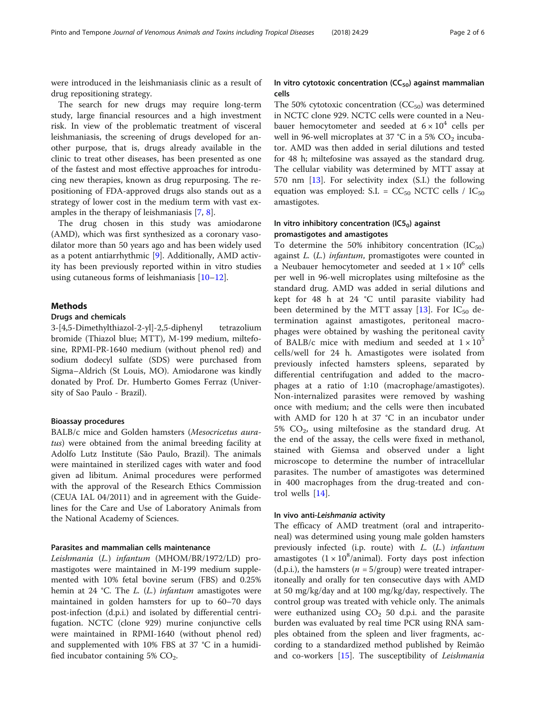were introduced in the leishmaniasis clinic as a result of drug repositioning strategy.

The search for new drugs may require long-term study, large financial resources and a high investment risk. In view of the problematic treatment of visceral leishmaniasis, the screening of drugs developed for another purpose, that is, drugs already available in the clinic to treat other diseases, has been presented as one of the fastest and most effective approaches for introducing new therapies, known as drug repurposing. The repositioning of FDA-approved drugs also stands out as a strategy of lower cost in the medium term with vast examples in the therapy of leishmaniasis [\[7](#page-5-0), [8](#page-5-0)].

The drug chosen in this study was amiodarone (AMD), which was first synthesized as a coronary vasodilator more than 50 years ago and has been widely used as a potent antiarrhythmic [\[9](#page-5-0)]. Additionally, AMD activity has been previously reported within in vitro studies using cutaneous forms of leishmaniasis [\[10](#page-5-0)–[12\]](#page-5-0).

## Methods

## Drugs and chemicals

3-[4,5-Dimethylthiazol-2-yl]-2,5-diphenyl tetrazolium bromide (Thiazol blue; MTT), M-199 medium, miltefosine, RPMI-PR-1640 medium (without phenol red) and sodium dodecyl sulfate (SDS) were purchased from Sigma–Aldrich (St Louis, MO). Amiodarone was kindly donated by Prof. Dr. Humberto Gomes Ferraz (University of Sao Paulo - Brazil).

## Bioassay procedures

BALB/c mice and Golden hamsters (Mesocricetus auratus) were obtained from the animal breeding facility at Adolfo Lutz Institute (São Paulo, Brazil). The animals were maintained in sterilized cages with water and food given ad libitum. Animal procedures were performed with the approval of the Research Ethics Commission (CEUA IAL 04/2011) and in agreement with the Guidelines for the Care and Use of Laboratory Animals from the National Academy of Sciences.

## Parasites and mammalian cells maintenance

Leishmania (L.) infantum (MHOM/BR/1972/LD) promastigotes were maintained in M-199 medium supplemented with 10% fetal bovine serum (FBS) and 0.25% hemin at 24 °C. The  $L$ . ( $L$ .) *infantum* amastigotes were maintained in golden hamsters for up to 60–70 days post-infection (d.p.i.) and isolated by differential centrifugation. NCTC (clone 929) murine conjunctive cells were maintained in RPMI-1640 (without phenol red) and supplemented with 10% FBS at 37 °C in a humidified incubator containing 5%  $CO<sub>2</sub>$ .

# In vitro cytotoxic concentration  $(CC_{50})$  against mammalian cells

The 50% cytotoxic concentration  $(CC_{50})$  was determined in NCTC clone 929. NCTC cells were counted in a Neubauer hemocytometer and seeded at  $6 \times 10^4$  cells per well in 96-well microplates at 37 °C in a 5%  $CO<sub>2</sub>$  incubator. AMD was then added in serial dilutions and tested for 48 h; miltefosine was assayed as the standard drug. The cellular viability was determined by MTT assay at 570 nm [[13](#page-5-0)]. For selectivity index (S.I.) the following equation was employed: S.I. =  $CC_{50}$  NCTC cells /  $IC_{50}$ amastigotes.

# In vitro inhibitory concentration  $(IC5<sub>0</sub>)$  against promastigotes and amastigotes

To determine the 50% inhibitory concentration  $(IC_{50})$ against L. (L.) infantum, promastigotes were counted in a Neubauer hemocytometer and seeded at  $1 \times 10^6$  cells per well in 96-well microplates using miltefosine as the standard drug. AMD was added in serial dilutions and kept for 48 h at 24 °C until parasite viability had been determined by the MTT assay [[13\]](#page-5-0). For  $IC_{50}$  determination against amastigotes, peritoneal macrophages were obtained by washing the peritoneal cavity of BALB/c mice with medium and seeded at  $1 \times 10^5$ cells/well for 24 h. Amastigotes were isolated from previously infected hamsters spleens, separated by differential centrifugation and added to the macrophages at a ratio of 1:10 (macrophage/amastigotes). Non-internalized parasites were removed by washing once with medium; and the cells were then incubated with AMD for 120 h at 37 °C in an incubator under 5%  $CO<sub>2</sub>$ , using miltefosine as the standard drug. At the end of the assay, the cells were fixed in methanol, stained with Giemsa and observed under a light microscope to determine the number of intracellular parasites. The number of amastigotes was determined in 400 macrophages from the drug-treated and control wells [\[14](#page-5-0)].

## In vivo anti-Leishmania activity

The efficacy of AMD treatment (oral and intraperitoneal) was determined using young male golden hamsters previously infected (i.p. route) with  $L$ .  $(L)$  infantum amastigotes  $(1 \times 10^8/\text{animal})$ . Forty days post infection (d.p.i.), the hamsters ( $n = 5$ /group) were treated intraperitoneally and orally for ten consecutive days with AMD at 50 mg/kg/day and at 100 mg/kg/day, respectively. The control group was treated with vehicle only. The animals were euthanized using  $CO<sub>2</sub>$  50 d.p.i. and the parasite burden was evaluated by real time PCR using RNA samples obtained from the spleen and liver fragments, according to a standardized method published by Reimão and co-workers [[15](#page-5-0)]. The susceptibility of Leishmania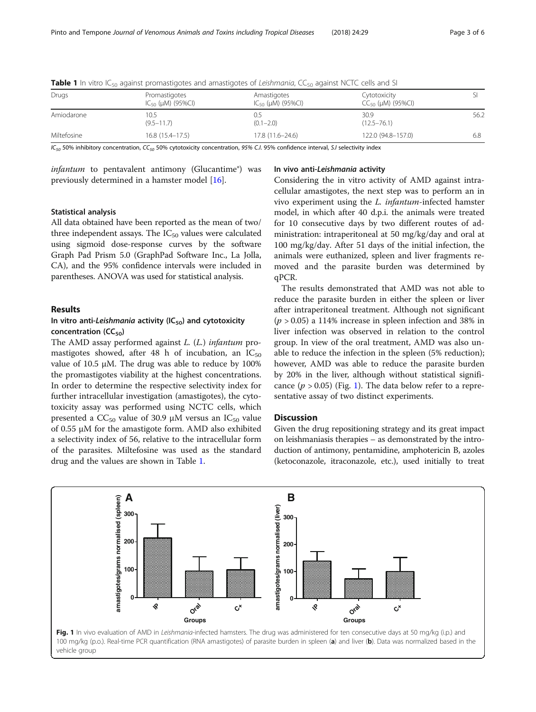| Drugs       | Promastigotes<br>$IC_{50}$ (µM) (95%Cl) | Amastigotes<br>$IC_{50}$ (µM) (95%CI) | Cytotoxicity<br>$CC_{50}$ ( $\mu$ M) (95%CI) |      |
|-------------|-----------------------------------------|---------------------------------------|----------------------------------------------|------|
| Amiodarone  | 10.5<br>$(9.5 - 11.7)$                  | U.5<br>$(0.1 - 2.0)$                  | 30.9<br>$(12.5 - 76.1)$                      | 56.2 |
| Miltefosine | $16.8(15.4-17.5)$                       | $17.8(11.6 - 24.6)$                   | 122.0 (94.8-157.0)                           | 6.8  |

**Table 1** In vitro IC<sub>50</sub> against promastigotes and amastigotes of Leishmania, CC<sub>50</sub> against NCTC cells and SI

 $IC_{50}$  50% inhibitory concentration,  $CC_{50}$  50% cytotoxicity concentration, 95% C.I. 95% confidence interval, S.I selectivity index

 $infantum$  to pentavalent antimony (Glucantime®) was previously determined in a hamster model [[16](#page-5-0)].

# In vivo anti-Leishmania activity

## Statistical analysis

All data obtained have been reported as the mean of two/ three independent assays. The  $IC_{50}$  values were calculated using sigmoid dose-response curves by the software Graph Pad Prism 5.0 (GraphPad Software Inc., La Jolla, CA), and the 95% confidence intervals were included in parentheses. ANOVA was used for statistical analysis.

# Results

# In vitro anti-Leishmania activity  $(IC_{50})$  and cytotoxicity concentration  $(CC_{50})$

The AMD assay performed against L. (L.) infantum promastigotes showed, after 48 h of incubation, an  $IC_{50}$ value of 10.5 μM. The drug was able to reduce by 100% the promastigotes viability at the highest concentrations. In order to determine the respective selectivity index for further intracellular investigation (amastigotes), the cytotoxicity assay was performed using NCTC cells, which presented a  $CC_{50}$  value of 30.9 μM versus an  $IC_{50}$  value of 0.55 μM for the amastigote form. AMD also exhibited a selectivity index of 56, relative to the intracellular form of the parasites. Miltefosine was used as the standard drug and the values are shown in Table 1.

Considering the in vitro activity of AMD against intracellular amastigotes, the next step was to perform an in vivo experiment using the L. infantum-infected hamster model, in which after 40 d.p.i. the animals were treated for 10 consecutive days by two different routes of administration: intraperitoneal at 50 mg/kg/day and oral at 100 mg/kg/day. After 51 days of the initial infection, the animals were euthanized, spleen and liver fragments removed and the parasite burden was determined by qPCR.

The results demonstrated that AMD was not able to reduce the parasite burden in either the spleen or liver after intraperitoneal treatment. Although not significant  $(p > 0.05)$  a 114% increase in spleen infection and 38% in liver infection was observed in relation to the control group. In view of the oral treatment, AMD was also unable to reduce the infection in the spleen (5% reduction); however, AMD was able to reduce the parasite burden by 20% in the liver, although without statistical significance  $(p > 0.05)$  (Fig. 1). The data below refer to a representative assay of two distinct experiments.

# **Discussion**

Given the drug repositioning strategy and its great impact on leishmaniasis therapies – as demonstrated by the introduction of antimony, pentamidine, amphotericin B, azoles (ketoconazole, itraconazole, etc.), used initially to treat

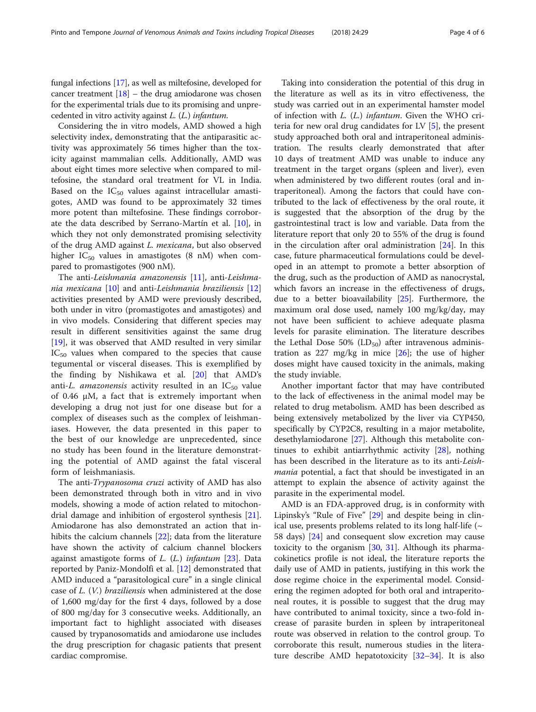fungal infections [\[17\]](#page-5-0), as well as miltefosine, developed for cancer treatment  $[18]$  $[18]$  – the drug amiodarone was chosen for the experimental trials due to its promising and unprecedented in vitro activity against L. (L.) infantum.

Considering the in vitro models, AMD showed a high selectivity index, demonstrating that the antiparasitic activity was approximately 56 times higher than the toxicity against mammalian cells. Additionally, AMD was about eight times more selective when compared to miltefosine, the standard oral treatment for VL in India. Based on the  $IC_{50}$  values against intracellular amastigotes, AMD was found to be approximately 32 times more potent than miltefosine. These findings corroborate the data described by Serrano-Martín et al. [\[10](#page-5-0)], in which they not only demonstrated promising selectivity of the drug AMD against L. mexicana, but also observed higher  $IC_{50}$  values in amastigotes (8 nM) when compared to promastigotes (900 nM).

The anti-Leishmania amazonensis [[11\]](#page-5-0), anti-Leishmania mexicana [[10\]](#page-5-0) and anti-Leishmania braziliensis [[12](#page-5-0)] activities presented by AMD were previously described, both under in vitro (promastigotes and amastigotes) and in vivo models. Considering that different species may result in different sensitivities against the same drug [[19\]](#page-5-0), it was observed that AMD resulted in very similar  $IC_{50}$  values when compared to the species that cause tegumental or visceral diseases. This is exemplified by the finding by Nishikawa et al. [[20](#page-5-0)] that AMD's anti-L. amazonensis activity resulted in an  $IC_{50}$  value of 0.46 μM, a fact that is extremely important when developing a drug not just for one disease but for a complex of diseases such as the complex of leishmaniases. However, the data presented in this paper to the best of our knowledge are unprecedented, since no study has been found in the literature demonstrating the potential of AMD against the fatal visceral form of leishmaniasis.

The anti-Trypanosoma cruzi activity of AMD has also been demonstrated through both in vitro and in vivo models, showing a mode of action related to mitochondrial damage and inhibition of ergosterol synthesis [\[21](#page-5-0)]. Amiodarone has also demonstrated an action that in-hibits the calcium channels [[22](#page-5-0)]; data from the literature have shown the activity of calcium channel blockers against amastigote forms of  $L$ . ( $L$ .) infantum [\[23\]](#page-5-0). Data reported by Paniz-Mondolfi et al. [\[12](#page-5-0)] demonstrated that AMD induced a "parasitological cure" in a single clinical case of L. (V.) braziliensis when administered at the dose of 1,600 mg/day for the first 4 days, followed by a dose of 800 mg/day for 3 consecutive weeks. Additionally, an important fact to highlight associated with diseases caused by trypanosomatids and amiodarone use includes the drug prescription for chagasic patients that present cardiac compromise.

Taking into consideration the potential of this drug in the literature as well as its in vitro effectiveness, the study was carried out in an experimental hamster model of infection with  $L$ .  $(L)$  infantum. Given the WHO criteria for new oral drug candidates for LV [\[5](#page-5-0)], the present study approached both oral and intraperitoneal administration. The results clearly demonstrated that after 10 days of treatment AMD was unable to induce any treatment in the target organs (spleen and liver), even when administered by two different routes (oral and intraperitoneal). Among the factors that could have contributed to the lack of effectiveness by the oral route, it is suggested that the absorption of the drug by the gastrointestinal tract is low and variable. Data from the literature report that only 20 to 55% of the drug is found in the circulation after oral administration [[24](#page-5-0)]. In this case, future pharmaceutical formulations could be developed in an attempt to promote a better absorption of the drug, such as the production of AMD as nanocrystal, which favors an increase in the effectiveness of drugs, due to a better bioavailability [[25](#page-5-0)]. Furthermore, the maximum oral dose used, namely 100 mg/kg/day, may not have been sufficient to achieve adequate plasma levels for parasite elimination. The literature describes the Lethal Dose 50% ( $LD_{50}$ ) after intravenous administration as 227 mg/kg in mice  $[26]$  $[26]$  $[26]$ ; the use of higher doses might have caused toxicity in the animals, making the study inviable.

Another important factor that may have contributed to the lack of effectiveness in the animal model may be related to drug metabolism. AMD has been described as being extensively metabolized by the liver via CYP450, specifically by CYP2C8, resulting in a major metabolite, desethylamiodarone [\[27](#page-5-0)]. Although this metabolite continues to exhibit antiarrhythmic activity [\[28](#page-5-0)], nothing has been described in the literature as to its anti-Leishmania potential, a fact that should be investigated in an attempt to explain the absence of activity against the parasite in the experimental model.

AMD is an FDA-approved drug, is in conformity with Lipinsky's "Rule of Five" [\[29](#page-5-0)] and despite being in clinical use, presents problems related to its long half-life ( $\sim$ 58 days) [\[24\]](#page-5-0) and consequent slow excretion may cause toxicity to the organism  $[30, 31]$  $[30, 31]$  $[30, 31]$  $[30, 31]$ . Although its pharmacokinetics profile is not ideal, the literature reports the daily use of AMD in patients, justifying in this work the dose regime choice in the experimental model. Considering the regimen adopted for both oral and intraperitoneal routes, it is possible to suggest that the drug may have contributed to animal toxicity, since a two-fold increase of parasite burden in spleen by intraperitoneal route was observed in relation to the control group. To corroborate this result, numerous studies in the literature describe AMD hepatotoxicity [[32](#page-5-0)–[34\]](#page-5-0). It is also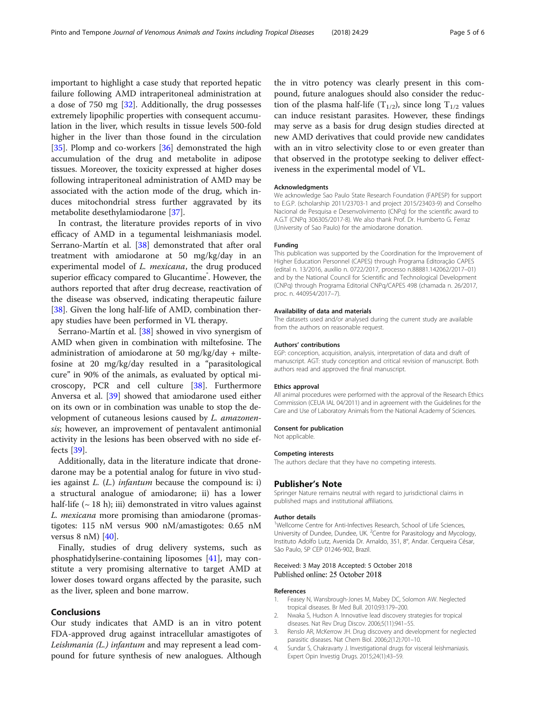<span id="page-4-0"></span>important to highlight a case study that reported hepatic failure following AMD intraperitoneal administration at a dose of 750 mg [[32\]](#page-5-0). Additionally, the drug possesses extremely lipophilic properties with consequent accumulation in the liver, which results in tissue levels 500-fold higher in the liver than those found in the circulation [[35\]](#page-5-0). Plomp and co-workers [[36\]](#page-5-0) demonstrated the high accumulation of the drug and metabolite in adipose tissues. Moreover, the toxicity expressed at higher doses following intraperitoneal administration of AMD may be associated with the action mode of the drug, which induces mitochondrial stress further aggravated by its metabolite desethylamiodarone [\[37](#page-5-0)].

In contrast, the literature provides reports of in vivo efficacy of AMD in a tegumental leishmaniasis model. Serrano-Martín et al. [\[38](#page-5-0)] demonstrated that after oral treatment with amiodarone at 50 mg/kg/day in an experimental model of L. mexicana, the drug produced superior efficacy compared to Glucantime<sup>®</sup>. However, the authors reported that after drug decrease, reactivation of the disease was observed, indicating therapeutic failure [[38\]](#page-5-0). Given the long half-life of AMD, combination therapy studies have been performed in VL therapy.

Serrano-Martín et al. [[38](#page-5-0)] showed in vivo synergism of AMD when given in combination with miltefosine. The administration of amiodarone at 50 mg/kg/day + miltefosine at 20 mg/kg/day resulted in a "parasitological cure" in 90% of the animals, as evaluated by optical microscopy, PCR and cell culture [\[38](#page-5-0)]. Furthermore Anversa et al. [\[39\]](#page-5-0) showed that amiodarone used either on its own or in combination was unable to stop the development of cutaneous lesions caused by L. amazonensis; however, an improvement of pentavalent antimonial activity in the lesions has been observed with no side effects [[39](#page-5-0)].

Additionally, data in the literature indicate that dronedarone may be a potential analog for future in vivo studies against  $L$ .  $(L)$  infantum because the compound is: i) a structural analogue of amiodarone; ii) has a lower half-life  $({\sim} 18 \text{ h})$ ; iii) demonstrated in vitro values against L. mexicana more promising than amiodarone (promastigotes: 115 nM versus 900 nM/amastigotes: 0.65 nM versus  $8 \text{ nM}$  [[40\]](#page-5-0).

Finally, studies of drug delivery systems, such as phosphatidylserine-containing liposomes [[41\]](#page-5-0), may constitute a very promising alternative to target AMD at lower doses toward organs affected by the parasite, such as the liver, spleen and bone marrow.

## Conclusions

Our study indicates that AMD is an in vitro potent FDA-approved drug against intracellular amastigotes of Leishmania (L.) infantum and may represent a lead compound for future synthesis of new analogues. Although

the in vitro potency was clearly present in this compound, future analogues should also consider the reduction of the plasma half-life  $(T_{1/2})$ , since long  $T_{1/2}$  values can induce resistant parasites. However, these findings may serve as a basis for drug design studies directed at new AMD derivatives that could provide new candidates with an in vitro selectivity close to or even greater than that observed in the prototype seeking to deliver effectiveness in the experimental model of VL.

### Acknowledgments

We acknowledge Sao Paulo State Research Foundation (FAPESP) for support to E.G.P. (scholarship 2011/23703-1 and project 2015/23403-9) and Conselho Nacional de Pesquisa e Desenvolvimento (CNPq) for the scientific award to A.G.T (CNPq 306305/2017-8). We also thank Prof. Dr. Humberto G. Ferraz (University of Sao Paulo) for the amiodarone donation.

#### Funding

This publication was supported by the Coordination for the Improvement of Higher Education Personnel (CAPES) through Programa Editoração CAPES (edital n. 13/2016, auxílio n. 0722/2017, processo n.88881.142062/2017–01) and by the National Council for Scientific and Technological Development (CNPq) through Programa Editorial CNPq/CAPES 498 (chamada n. 26/2017, proc. n. 440954/2017–7).

## Availability of data and materials

The datasets used and/or analysed during the current study are available from the authors on reasonable request.

#### Authors' contributions

EGP: conception, acquisition, analysis, interpretation of data and draft of manuscript. AGT: study conception and critical revision of manuscript. Both authors read and approved the final manuscript.

### Ethics approval

All animal procedures were performed with the approval of the Research Ethics Commission (CEUA IAL 04/2011) and in agreement with the Guidelines for the Care and Use of Laboratory Animals from the National Academy of Sciences.

#### Consent for publication

Not applicable.

#### Competing interests

The authors declare that they have no competing interests.

## Publisher's Note

Springer Nature remains neutral with regard to jurisdictional claims in published maps and institutional affiliations.

#### Author details

<sup>1</sup>Wellcome Centre for Anti-Infectives Research, School of Life Sciences, University of Dundee, Dundee, UK. <sup>2</sup> Centre for Parasitology and Mycology, Instituto Adolfo Lutz, Avenida Dr. Arnaldo, 351, 8°, Andar. Cerqueira César, São Paulo, SP CEP 01246-902, Brazil.

## Received: 3 May 2018 Accepted: 5 October 2018 Published online: 25 October 2018

#### References

- 1. Feasey N, Wansbrough-Jones M, Mabey DC, Solomon AW. Neglected tropical diseases. Br Med Bull. 2010;93:179–200.
- 2. Nwaka S, Hudson A. Innovative lead discovery strategies for tropical diseases. Nat Rev Drug Discov. 2006;5(11):941–55.
- 3. Renslo AR, McKerrow JH. Drug discovery and development for neglected parasitic diseases. Nat Chem Biol. 2006;2(12):701–10.
- 4. Sundar S, Chakravarty J. Investigational drugs for visceral leishmaniasis. Expert Opin Investig Drugs. 2015;24(1):43–59.